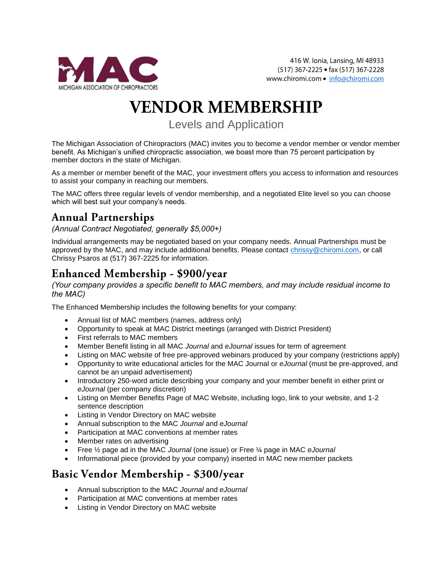

# **VENDOR MEMBERSHIP**

Levels and Application

The Michigan Association of Chiropractors (MAC) invites you to become a vendor member or vendor member benefit. As Michigan's unified chiropractic association, we boast more than 75 percent participation by member doctors in the state of Michigan.

As a member or member benefit of the MAC, your investment offers you access to information and resources to assist your company in reaching our members.

The MAC offers three regular levels of vendor membership, and a negotiated Elite level so you can choose which will best suit your company's needs.

### **Annual Partnerships**

*(Annual Contract Negotiated, generally \$5,000+)*

Individual arrangements may be negotiated based on your company needs. Annual Partnerships must be approved by the MAC, and may include additional benefits. Please contact [chrissy@chiromi.com,](mailto:chrissy@chiromi.com) or call Chrissy Psaros at (517) 367-2225 for information.

## Enhanced Membership - \$900/year

*(Your company provides a specific benefit to MAC members, and may include residual income to the MAC)*

The Enhanced Membership includes the following benefits for your company:

- Annual list of MAC members (names, address only)
- Opportunity to speak at MAC District meetings (arranged with District President)
- First referrals to MAC members
- Member Benefit listing in all MAC *Journal* and *eJournal* issues for term of agreement
- Listing on MAC website of free pre-approved webinars produced by your company (restrictions apply)
- Opportunity to write educational articles for the MAC Journal or *eJournal* (must be pre-approved, and cannot be an unpaid advertisement)
- Introductory 250-word article describing your company and your member benefit in either print or *eJournal* (per company discretion)
- Listing on Member Benefits Page of MAC Website, including logo, link to your website, and 1-2 sentence description
- Listing in Vendor Directory on MAC website
- Annual subscription to the MAC *Journal* and *eJournal*
- Participation at MAC conventions at member rates
- Member rates on advertising
- Free ½ page ad in the MAC *Journal* (one issue) or Free ¼ page in MAC *eJournal*
- Informational piece (provided by your company) inserted in MAC new member packets

### Basic Vendor Membership - \$300/year

- Annual subscription to the MAC *Journal* and *eJournal*
- Participation at MAC conventions at member rates
- Listing in Vendor Directory on MAC website